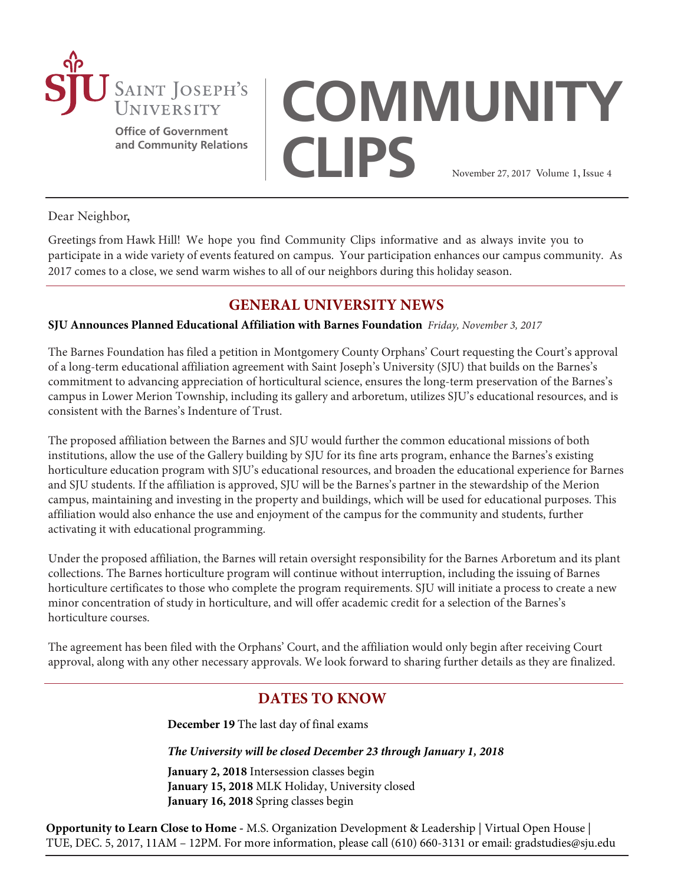

**Office of Government and Community Relations**

# **COMMUNITY CLIPS** November 27, 2017 Volume 1, Issue 4

Dear Neighbor,

Greetings from Hawk Hill! We hope you find Community Clips informative and as always invite you to participate in a wide variety of events featured on campus. Your participation enhances our campus community. As 2017 comes to a close, we send warm wishes to all of our neighbors during this holiday season.

## **GENERAL UNIVERSITY NEWS**

#### **SJU Announces Planned Educational Affiliation with Barnes Foundation** *Friday, November 3, 2017*

The Barnes Foundation has filed a petition in Montgomery County Orphans' Court requesting the Court's approval of a long-term educational affiliation agreement with Saint Joseph's University (SJU) that builds on the Barnes's commitment to advancing appreciation of horticultural science, ensures the long-term preservation of the Barnes's campus in Lower Merion Township, including its gallery and arboretum, utilizes SJU's educational resources, and is consistent with the Barnes's Indenture of Trust.

The proposed affiliation between the Barnes and SJU would further the common educational missions of both institutions, allow the use of the Gallery building by SJU for its fine arts program, enhance the Barnes's existing horticulture education program with SJU's educational resources, and broaden the educational experience for Barnes and SJU students. If the affiliation is approved, SJU will be the Barnes's partner in the stewardship of the Merion campus, maintaining and investing in the property and buildings, which will be used for educational purposes. This affiliation would also enhance the use and enjoyment of the campus for the community and students, further activating it with educational programming.

Under the proposed affiliation, the Barnes will retain oversight responsibility for the Barnes Arboretum and its plant collections. The Barnes horticulture program will continue without interruption, including the issuing of Barnes horticulture certificates to those who complete the program requirements. SJU will initiate a process to create a new minor concentration of study in horticulture, and will offer academic credit for a selection of the Barnes's horticulture courses.

The agreement has been filed with the Orphans' Court, and the affiliation would only begin after receiving Court approval, along with any other necessary approvals. We look forward to sharing further details as they are finalized.

# **DATES TO KNOW**

**December 19** The last day of final exams

*The University will be closed December 23 through January 1, 2018*

**January 2, 2018** Intersession classes begin **January 15, 2018** MLK Holiday, University closed **January 16, 2018** Spring classes begin

**[Opportunity to Learn Close to Home -](www.sju.edu/admission/graduate-arts-sciences/open-housesvisit-campus)** M.S. Organization Development & Leadership | [Virtual Open House](/www.sju.edu/admission/graduate-arts-sciences/open-housesvisit-campus) | TUE, DEC. 5, 2017, 11AM – 12PM. For more information, please call (610) 660-3131 or email: gradstudies@sju.edu